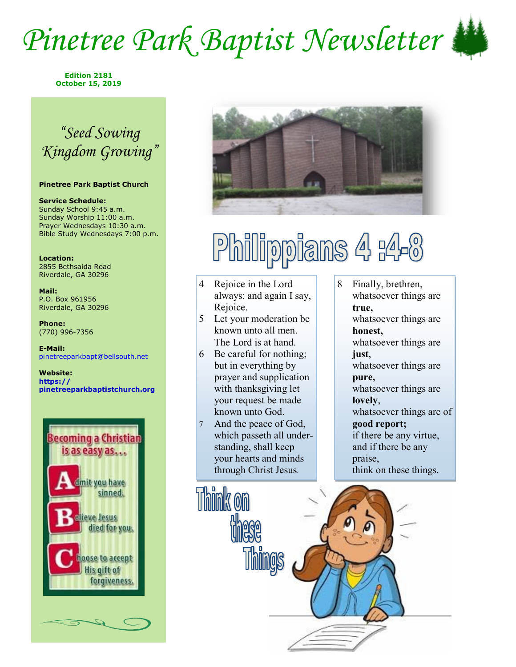## *Pinetree Park Baptist Newsletter*



**Edition 2181 October 15, 2019**

### *"Seed Sowing Kingdom Growing"*

### **Pinetree Park Baptist Church**

**Service Schedule:** Sunday School 9:45 a.m. Sunday Worship 11:00 a.m. Prayer Wednesdays 10:30 a.m. Bible Study Wednesdays 7:00 p.m.

**Location:**  2855 Bethsaida Road Riverdale, GA 30296

**Mail:** P.O. Box 961956 Riverdale, GA 30296

**Phone:** (770) 996-7356

**E-Mail:** pinetreeparkbapt@bellsouth.net

**Website: https:// pinetreeparkbaptistchurch.org** 





## Philippians 4 r4-8

- 4 Rejoice in the Lord always: and again I say, Rejoice.
- 5 Let your moderation be known unto all men. The Lord is at hand.
- 6 Be careful for nothing; but in everything by prayer and supplication with thanksgiving let your request be made known unto God.
- 7 And the peace of God, which passeth all understanding, shall keep your hearts and minds through Christ Jesus.
- 8 Finally, brethren, whatsoever things are **true,**  whatsoever things are **honest,**  whatsoever things are **just**, whatsoever things are **pure,**  whatsoever things are **lovely**, whatsoever things are of **good report;**  if there be any virtue, and if there be any praise, think on these things.

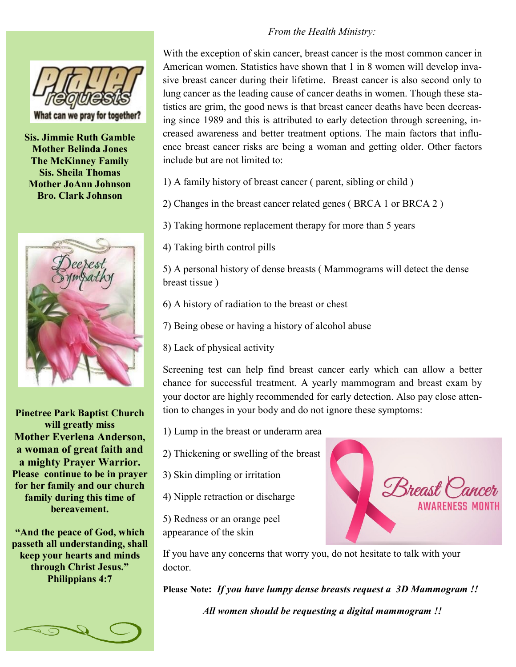# What can we pray for together?

**Sis. Jimmie Ruth Gamble Mother Belinda Jones The McKinney Family Sis. Sheila Thomas Mother JoAnn Johnson Bro. Clark Johnson**



**Pinetree Park Baptist Church will greatly miss Mother Everlena Anderson, a woman of great faith and a mighty Prayer Warrior. Please continue to be in prayer for her family and our church family during this time of bereavement.** 

**"And the peace of God, which passeth all understanding, shall keep your hearts and minds through Christ Jesus." Philippians 4:7**



### *From the Health Ministry:*

With the exception of skin cancer, breast cancer is the most common cancer in American women. Statistics have shown that 1 in 8 women will develop invasive breast cancer during their lifetime. Breast cancer is also second only to lung cancer as the leading cause of cancer deaths in women. Though these statistics are grim, the good news is that breast cancer deaths have been decreasing since 1989 and this is attributed to early detection through screening, increased awareness and better treatment options. The main factors that influence breast cancer risks are being a woman and getting older. Other factors include but are not limited to:

1) A family history of breast cancer ( parent, sibling or child )

2) Changes in the breast cancer related genes ( BRCA 1 or BRCA 2 )

3) Taking hormone replacement therapy for more than 5 years

4) Taking birth control pills

5) A personal history of dense breasts ( Mammograms will detect the dense breast tissue )

6) A history of radiation to the breast or chest

7) Being obese or having a history of alcohol abuse

8) Lack of physical activity

Screening test can help find breast cancer early which can allow a better chance for successful treatment. A yearly mammogram and breast exam by your doctor are highly recommended for early detection. Also pay close attention to changes in your body and do not ignore these symptoms:

1) Lump in the breast or underarm area

2) Thickening or swelling of the breast

3) Skin dimpling or irritation

4) Nipple retraction or discharge

5) Redness or an orange peel appearance of the skin



If you have any concerns that worry you, do not hesitate to talk with your doctor.

**Please Note:** *If you have lumpy dense breasts request a 3D Mammogram !!*

*All women should be requesting a digital mammogram !!*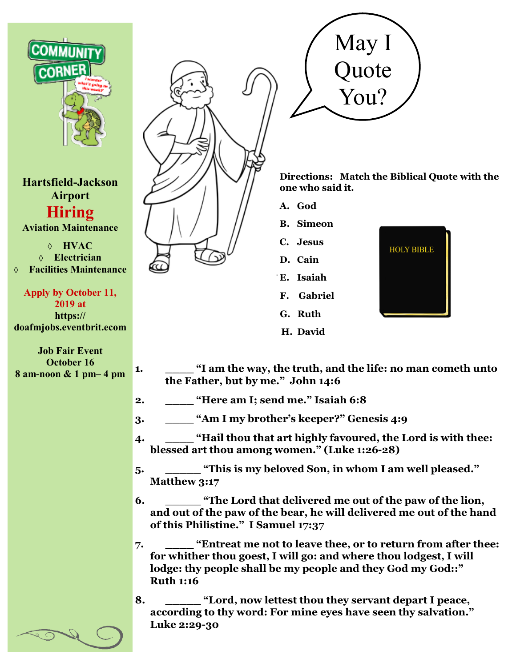

**Hartsfield-Jackson Airport Hiring Aviation Maintenance**

**HVAC Electrician Facilities Maintenance**

**Apply by October 11, 2019 at https:// doafmjobs.eventbrit.ecom**

**Job Fair Event October 16 8 am-noon & 1 pm– 4 pm**





**Directions: Match the Biblical Quote with the one who said it.**

- **A. God**
- **B. Simeon**
- **C. Jesus**
- **D. Cain**
- **E. Isaiah**
- **F. Gabriel**
- **G. Ruth**
- **H. David**



- **1. \_\_\_\_ "I am the way, the truth, and the life: no man cometh unto the Father, but by me." John 14:6**
- **2. \_\_\_\_ "Here am I; send me." Isaiah 6:8**
- **3. \_\_\_\_ "Am I my brother's keeper?" Genesis 4:9**
- **4. \_\_\_\_ "Hail thou that art highly favoured, the Lord is with thee: blessed art thou among women." (Luke 1:26-28)**
- **5. \_\_\_\_\_ "This is my beloved Son, in whom I am well pleased." Matthew 3:17**
- **6. \_\_\_\_\_ "The Lord that delivered me out of the paw of the lion, and out of the paw of the bear, he will delivered me out of the hand of this Philistine." I Samuel 17:37**
- **7. \_\_\_\_ "Entreat me not to leave thee, or to return from after thee: for whither thou goest, I will go: and where thou lodgest, I will lodge: thy people shall be my people and they God my God::" Ruth 1:16**
- **8. \_\_\_\_\_ "Lord, now lettest thou they servant depart I peace, according to thy word: For mine eyes have seen thy salvation." Luke 2:29-30**